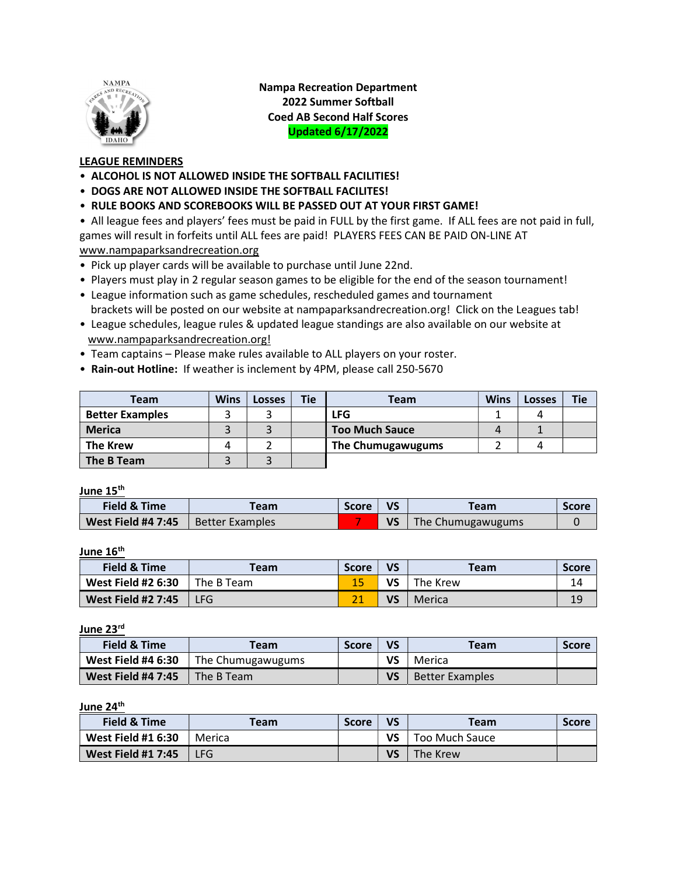

Nampa Recreation Department 2022 Summer Softball Coed AB Second Half Scores Updated 6/17/2022

## LEAGUE REMINDERS

- ALCOHOL IS NOT ALLOWED INSIDE THE SOFTBALL FACILITIES!
- DOGS ARE NOT ALLOWED INSIDE THE SOFTBALL FACILITES!
- RULE BOOKS AND SCOREBOOKS WILL BE PASSED OUT AT YOUR FIRST GAME!

• All league fees and players' fees must be paid in FULL by the first game. If ALL fees are not paid in full, games will result in forfeits until ALL fees are paid! PLAYERS FEES CAN BE PAID ON-LINE AT www.nampaparksandrecreation.org

- Pick up player cards will be available to purchase until June 22nd.
- Players must play in 2 regular season games to be eligible for the end of the season tournament!
- League information such as game schedules, rescheduled games and tournament brackets will be posted on our website at nampaparksandrecreation.org! Click on the Leagues tab!
- League schedules, league rules & updated league standings are also available on our website at www.nampaparksandrecreation.org!
- Team captains Please make rules available to ALL players on your roster.
- Rain-out Hotline: If weather is inclement by 4PM, please call 250-5670

| Team                   | <b>Wins</b> | <b>Losses</b> | <b>Tie</b> | <b>Team</b>           | <b>Wins</b> | <b>Losses</b> | <b>Tie</b> |
|------------------------|-------------|---------------|------------|-----------------------|-------------|---------------|------------|
| <b>Better Examples</b> |             |               |            | LFG                   |             |               |            |
| <b>Merica</b>          |             |               |            | <b>Too Much Sauce</b> |             |               |            |
| <b>The Krew</b>        |             |               |            | The Chumugawugums     |             |               |            |
| The B Team             |             |               |            |                       |             |               |            |

June 15<sup>th</sup>

| Field & Time       | eam                    | <b>Score</b> | <b>VS</b> | <b>Team</b>       | Score |
|--------------------|------------------------|--------------|-----------|-------------------|-------|
| West Field #4 7:45 | <b>Better Examples</b> |              |           | The Chumugawugums |       |

June 16<sup>th</sup>

| <b>Field &amp; Time</b>   | Team       | <b>Score</b> | VS | <b>Team</b> | <b>Score</b> |
|---------------------------|------------|--------------|----|-------------|--------------|
| <b>West Field #2 6:30</b> | The B Team |              | VS | The Krew    | 14           |
| <b>West Field #2 7:45</b> | <b>LFG</b> |              | VS | Merica      | 19           |

June 23<sup>rd</sup>

| Field & Time              | Team.             | <b>Score</b> | VS | <b>Team</b>            | <b>Score</b> |
|---------------------------|-------------------|--------------|----|------------------------|--------------|
| <b>West Field #4 6:30</b> | The Chumugawugums |              | VS | Merica                 |              |
| <b>West Field #4 7:45</b> | The B Team        |              | VS | <b>Better Examples</b> |              |

## June 24<sup>th</sup>

| <b>Field &amp; Time</b>   | Team   | <b>Score</b> | VS | <b>Team</b>    | <b>Score</b> |
|---------------------------|--------|--------------|----|----------------|--------------|
| <b>West Field #1 6:30</b> | Merica |              | VS | Too Much Sauce |              |
| <b>West Field #1 7:45</b> | LFG    |              | VS | The Krew       |              |